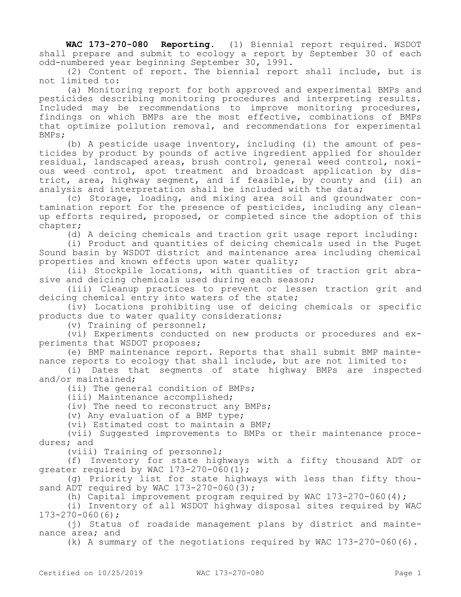**WAC 173-270-080 Reporting.** (1) Biennial report required. WSDOT shall prepare and submit to ecology a report by September 30 of each odd-numbered year beginning September 30, 1991.

(2) Content of report. The biennial report shall include, but is not limited to:

(a) Monitoring report for both approved and experimental BMPs and pesticides describing monitoring procedures and interpreting results. Included may be recommendations to improve monitoring procedures, findings on which BMPs are the most effective, combinations of BMPs that optimize pollution removal, and recommendations for experimental BMPs;

(b) A pesticide usage inventory, including (i) the amount of pesticides by product by pounds of active ingredient applied for shoulder residual, landscaped areas, brush control, general weed control, noxious weed control, spot treatment and broadcast application by district, area, highway segment, and if feasible, by county and (ii) an analysis and interpretation shall be included with the data;

(c) Storage, loading, and mixing area soil and groundwater contamination report for the presence of pesticides, including any cleanup efforts required, proposed, or completed since the adoption of this chapter;

(d) A deicing chemicals and traction grit usage report including:

(i) Product and quantities of deicing chemicals used in the Puget Sound basin by WSDOT district and maintenance area including chemical properties and known effects upon water quality;

(ii) Stockpile locations, with quantities of traction grit abrasive and deicing chemicals used during each season;

(iii) Cleanup practices to prevent or lessen traction grit and deicing chemical entry into waters of the state;

(iv) Locations prohibiting use of deicing chemicals or specific products due to water quality considerations;

(v) Training of personnel;

(vi) Experiments conducted on new products or procedures and experiments that WSDOT proposes;

(e) BMP maintenance report. Reports that shall submit BMP maintenance reports to ecology that shall include, but are not limited to:

(i) Dates that segments of state highway BMPs are inspected and/or maintained;

(ii) The general condition of BMPs;

(iii) Maintenance accomplished;

(iv) The need to reconstruct any BMPs;

(v) Any evaluation of a BMP type;

(vi) Estimated cost to maintain a BMP;

(vii) Suggested improvements to BMPs or their maintenance procedures; and

(viii) Training of personnel;

(f) Inventory for state highways with a fifty thousand ADT or greater required by WAC 173-270-060(1);

(g) Priority list for state highways with less than fifty thousand ADT required by WAC  $173-270-060(3)$ ;

(h) Capital improvement program required by WAC  $173-270-060(4)$ ;

(i) Inventory of all WSDOT highway disposal sites required by WAC 173-270-060(6);

(j) Status of roadside management plans by district and maintenance area; and

(k) A summary of the negotiations required by WAC 173-270-060(6).